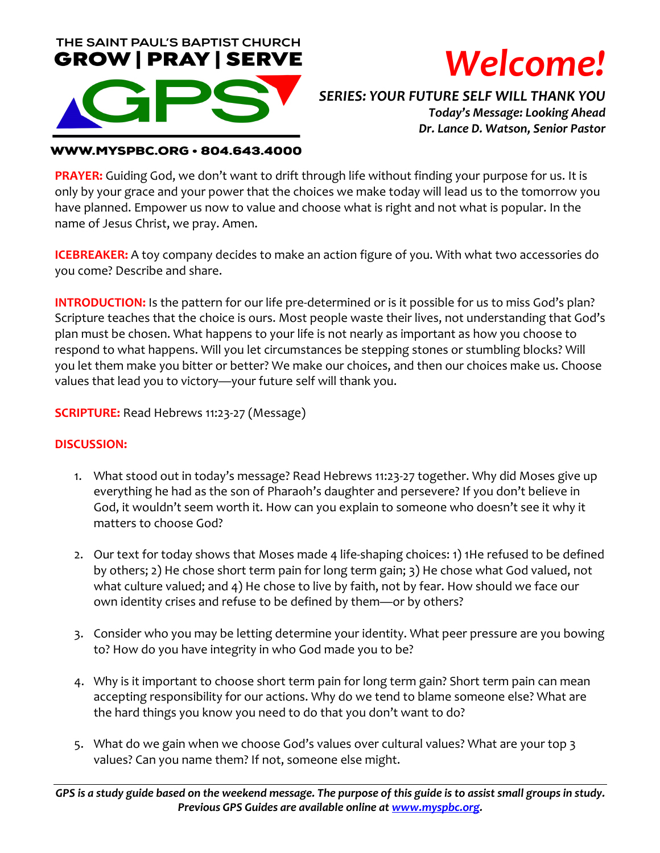



# *SERIES: YOUR FUTURE SELF WILL THANK YOU Today's Message: Looking Ahead Dr. Lance D. Watson, Senior Pastor*

#### **WWW.MYSPBC.ORG · 804.643.4000**

**PRAYER:** Guiding God, we don't want to drift through life without finding your purpose for us. It is only by your grace and your power that the choices we make today will lead us to the tomorrow you have planned. Empower us now to value and choose what is right and not what is popular. In the name of Jesus Christ, we pray. Amen.

**ICEBREAKER:** A toy company decides to make an action figure of you. With what two accessories do you come? Describe and share.

**INTRODUCTION:** Is the pattern for our life pre-determined or is it possible for us to miss God's plan? Scripture teaches that the choice is ours. Most people waste their lives, not understanding that God's plan must be chosen. What happens to your life is not nearly as important as how you choose to respond to what happens. Will you let circumstances be stepping stones or stumbling blocks? Will you let them make you bitter or better? We make our choices, and then our choices make us. Choose values that lead you to victory—your future self will thank you.

**SCRIPTURE:** Read Hebrews 11:23-27 (Message)

### **DISCUSSION:**

- 1. What stood out in today's message? Read Hebrews 11:23-27 together. Why did Moses give up everything he had as the son of Pharaoh's daughter and persevere? If you don't believe in God, it wouldn't seem worth it. How can you explain to someone who doesn't see it why it matters to choose God?
- 2. Our text for today shows that Moses made 4 life-shaping choices: 1) 1He refused to be defined by others; 2) He chose short term pain for long term gain; 3) He chose what God valued, not what culture valued; and 4) He chose to live by faith, not by fear. How should we face our own identity crises and refuse to be defined by them—or by others?
- 3. Consider who you may be letting determine your identity. What peer pressure are you bowing to? How do you have integrity in who God made you to be?
- 4. Why is it important to choose short term pain for long term gain? Short term pain can mean accepting responsibility for our actions. Why do we tend to blame someone else? What are the hard things you know you need to do that you don't want to do?
- 5. What do we gain when we choose God's values over cultural values? What are your top 3 values? Can you name them? If not, someone else might.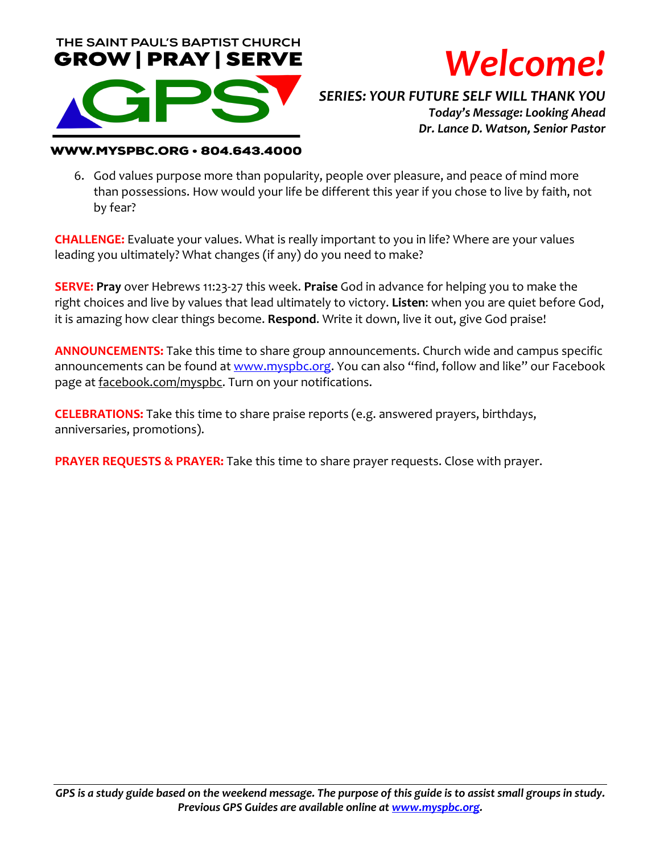



# *SERIES: YOUR FUTURE SELF WILL THANK YOU Today's Message: Looking Ahead Dr. Lance D. Watson, Senior Pastor*

#### **WWW.MYSPBC.ORG · 804.643.4000**

6. God values purpose more than popularity, people over pleasure, and peace of mind more than possessions. How would your life be different this year if you chose to live by faith, not by fear?

**CHALLENGE:** Evaluate your values. What is really important to you in life? Where are your values leading you ultimately? What changes (if any) do you need to make?

**SERVE: Pray** over Hebrews 11:23-27 this week. **Praise** God in advance for helping you to make the right choices and live by values that lead ultimately to victory. **Listen**: when you are quiet before God, it is amazing how clear things become. **Respond**. Write it down, live it out, give God praise!

**ANNOUNCEMENTS:** Take this time to share group announcements. Church wide and campus specific announcements can be found at www.myspbc.org. You can also "find, follow and like" our Facebook page at facebook.com/myspbc. Turn on your notifications.

**CELEBRATIONS:** Take this time to share praise reports (e.g. answered prayers, birthdays, anniversaries, promotions).

**PRAYER REQUESTS & PRAYER:** Take this time to share prayer requests. Close with prayer.